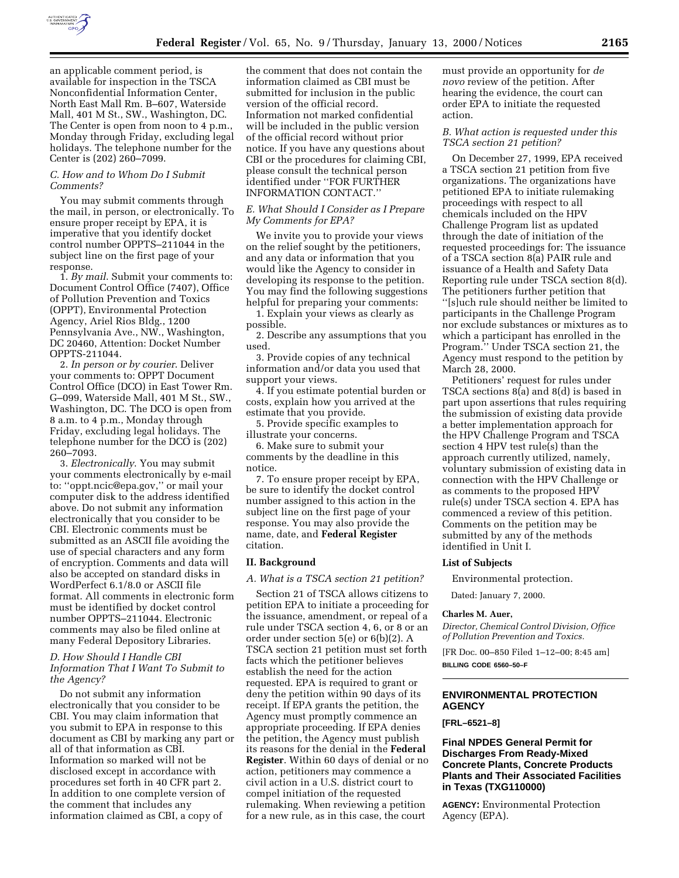

an applicable comment period, is available for inspection in the TSCA Nonconfidential Information Center, North East Mall Rm. B–607, Waterside Mall, 401 M St., SW., Washington, DC. The Center is open from noon to 4 p.m., Monday through Friday, excluding legal holidays. The telephone number for the Center is (202) 260–7099.

## *C. How and to Whom Do I Submit Comments?*

You may submit comments through the mail, in person, or electronically. To ensure proper receipt by EPA, it is imperative that you identify docket control number OPPTS–211044 in the subject line on the first page of your response.

1. *By mail*. Submit your comments to: Document Control Office (7407), Office of Pollution Prevention and Toxics (OPPT), Environmental Protection Agency, Ariel Rios Bldg., 1200 Pennsylvania Ave., NW., Washington, DC 20460, Attention: Docket Number OPPTS-211044.

2. *In person or by courier*. Deliver your comments to: OPPT Document Control Office (DCO) in East Tower Rm. G–099, Waterside Mall, 401 M St., SW., Washington, DC. The DCO is open from 8 a.m. to 4 p.m., Monday through Friday, excluding legal holidays. The telephone number for the DCO is (202) 260–7093.

3. *Electronically*. You may submit your comments electronically by e-mail to: ''oppt.ncic@epa.gov,'' or mail your computer disk to the address identified above. Do not submit any information electronically that you consider to be CBI. Electronic comments must be submitted as an ASCII file avoiding the use of special characters and any form of encryption. Comments and data will also be accepted on standard disks in WordPerfect 6.1/8.0 or ASCII file format. All comments in electronic form must be identified by docket control number OPPTS–211044. Electronic comments may also be filed online at many Federal Depository Libraries.

## *D. How Should I Handle CBI Information That I Want To Submit to the Agency?*

Do not submit any information electronically that you consider to be CBI. You may claim information that you submit to EPA in response to this document as CBI by marking any part or all of that information as CBI. Information so marked will not be disclosed except in accordance with procedures set forth in 40 CFR part 2. In addition to one complete version of the comment that includes any information claimed as CBI, a copy of

the comment that does not contain the information claimed as CBI must be submitted for inclusion in the public version of the official record. Information not marked confidential will be included in the public version of the official record without prior notice. If you have any questions about CBI or the procedures for claiming CBI, please consult the technical person identified under ''FOR FURTHER INFORMATION CONTACT.''

#### *E. What Should I Consider as I Prepare My Comments for EPA?*

We invite you to provide your views on the relief sought by the petitioners, and any data or information that you would like the Agency to consider in developing its response to the petition. You may find the following suggestions helpful for preparing your comments:

1. Explain your views as clearly as possible.

2. Describe any assumptions that you used.

3. Provide copies of any technical information and/or data you used that support your views.

4. If you estimate potential burden or costs, explain how you arrived at the estimate that you provide.

5. Provide specific examples to illustrate your concerns.

6. Make sure to submit your comments by the deadline in this notice.

7. To ensure proper receipt by EPA, be sure to identify the docket control number assigned to this action in the subject line on the first page of your response. You may also provide the name, date, and **Federal Register** citation.

### **II. Background**

*A. What is a TSCA section 21 petition?*

Section 21 of TSCA allows citizens to petition EPA to initiate a proceeding for the issuance, amendment, or repeal of a rule under TSCA section 4, 6, or 8 or an order under section 5(e) or 6(b)(2). A TSCA section 21 petition must set forth facts which the petitioner believes establish the need for the action requested. EPA is required to grant or deny the petition within 90 days of its receipt. If EPA grants the petition, the Agency must promptly commence an appropriate proceeding. If EPA denies the petition, the Agency must publish its reasons for the denial in the **Federal Register**. Within 60 days of denial or no action, petitioners may commence a civil action in a U.S. district court to compel initiation of the requested rulemaking. When reviewing a petition for a new rule, as in this case, the court

must provide an opportunity for *de novo* review of the petition. After hearing the evidence, the court can order EPA to initiate the requested action.

### *B. What action is requested under this TSCA section 21 petition?*

On December 27, 1999, EPA received a TSCA section 21 petition from five organizations. The organizations have petitioned EPA to initiate rulemaking proceedings with respect to all chemicals included on the HPV Challenge Program list as updated through the date of initiation of the requested proceedings for: The issuance of a TSCA section 8(a) PAIR rule and issuance of a Health and Safety Data Reporting rule under TSCA section 8(d). The petitioners further petition that ''[s]uch rule should neither be limited to participants in the Challenge Program nor exclude substances or mixtures as to which a participant has enrolled in the Program.'' Under TSCA section 21, the Agency must respond to the petition by March 28, 2000.

Petitioners' request for rules under TSCA sections 8(a) and 8(d) is based in part upon assertions that rules requiring the submission of existing data provide a better implementation approach for the HPV Challenge Program and TSCA section 4 HPV test rule(s) than the approach currently utilized, namely, voluntary submission of existing data in connection with the HPV Challenge or as comments to the proposed HPV rule(s) under TSCA section 4. EPA has commenced a review of this petition. Comments on the petition may be submitted by any of the methods identified in Unit I.

#### **List of Subjects**

Environmental protection.

Dated: January 7, 2000.

#### **Charles M. Auer,**

*Director, Chemical Control Division, Office of Pollution Prevention and Toxics.*

[FR Doc. 00–850 Filed 1–12–00; 8:45 am] **BILLING CODE 6560–50–F**

# **ENVIRONMENTAL PROTECTION AGENCY**

#### **[FRL–6521–8]**

## **Final NPDES General Permit for Discharges From Ready-Mixed Concrete Plants, Concrete Products Plants and Their Associated Facilities in Texas (TXG110000)**

**AGENCY:** Environmental Protection Agency (EPA).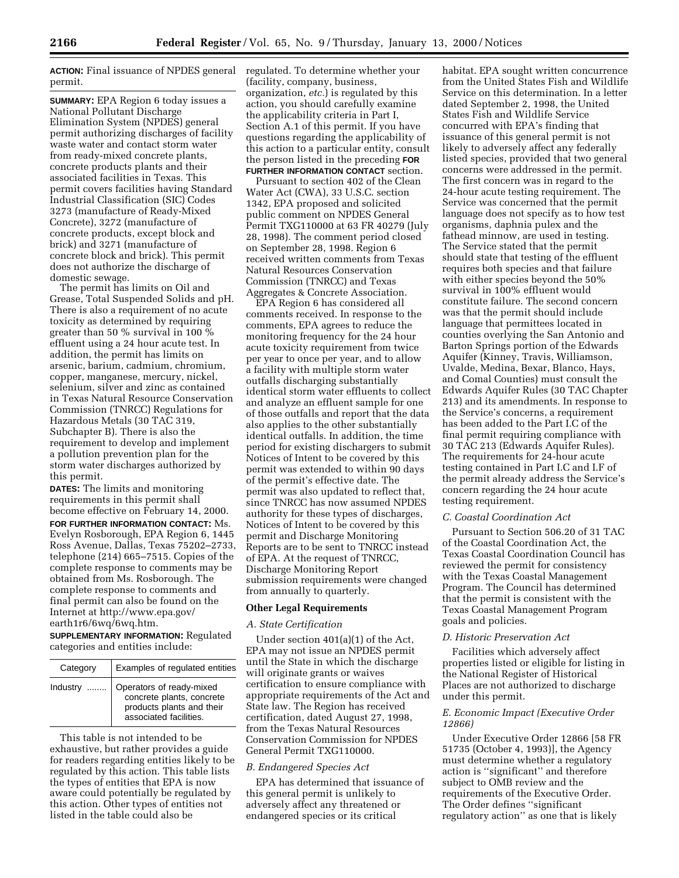**ACTION:** Final issuance of NPDES general permit.

**SUMMARY:** EPA Region 6 today issues a National Pollutant Discharge Elimination System (NPDES) general permit authorizing discharges of facility waste water and contact storm water from ready-mixed concrete plants, concrete products plants and their associated facilities in Texas. This permit covers facilities having Standard Industrial Classification (SIC) Codes 3273 (manufacture of Ready-Mixed Concrete), 3272 (manufacture of concrete products, except block and brick) and 3271 (manufacture of concrete block and brick). This permit does not authorize the discharge of domestic sewage.

The permit has limits on Oil and Grease, Total Suspended Solids and pH. There is also a requirement of no acute toxicity as determined by requiring greater than 50 % survival in 100 % effluent using a 24 hour acute test. In addition, the permit has limits on arsenic, barium, cadmium, chromium, copper, manganese, mercury, nickel, selenium, silver and zinc as contained in Texas Natural Resource Conservation Commission (TNRCC) Regulations for Hazardous Metals (30 TAC 319, Subchapter B). There is also the requirement to develop and implement a pollution prevention plan for the storm water discharges authorized by this permit.

**DATES:** The limits and monitoring requirements in this permit shall become effective on February 14, 2000. **FOR FURTHER INFORMATION CONTACT:** Ms. Evelyn Rosborough, EPA Region 6, 1445 Ross Avenue, Dallas, Texas 75202–2733, telephone (214) 665–7515. Copies of the complete response to comments may be obtained from Ms. Rosborough. The complete response to comments and final permit can also be found on the Internet at http://www.epa.gov/ earth1r6/6wq/6wq.htm.

**SUPPLEMENTARY INFORMATION:** Regulated categories and entities include:

| Category | Examples of regulated entities                                                                               |
|----------|--------------------------------------------------------------------------------------------------------------|
| Industry | Operators of ready-mixed<br>concrete plants, concrete<br>products plants and their<br>associated facilities. |

This table is not intended to be exhaustive, but rather provides a guide for readers regarding entities likely to be regulated by this action. This table lists the types of entities that EPA is now aware could potentially be regulated by this action. Other types of entities not listed in the table could also be

regulated. To determine whether your (facility, company, business, organization, *etc.*) is regulated by this action, you should carefully examine the applicability criteria in Part I, Section A.1 of this permit. If you have questions regarding the applicability of this action to a particular entity, consult the person listed in the preceding **FOR FURTHER INFORMATION CONTACT** section.

Pursuant to section 402 of the Clean Water Act (CWA), 33 U.S.C. section 1342, EPA proposed and solicited public comment on NPDES General Permit TXG110000 at 63 FR 40279 (July 28, 1998). The comment period closed on September 28, 1998. Region 6 received written comments from Texas Natural Resources Conservation Commission (TNRCC) and Texas Aggregates & Concrete Association.

EPA Region 6 has considered all comments received. In response to the comments, EPA agrees to reduce the monitoring frequency for the 24 hour acute toxicity requirement from twice per year to once per year, and to allow a facility with multiple storm water outfalls discharging substantially identical storm water effluents to collect and analyze an effluent sample for one of those outfalls and report that the data also applies to the other substantially identical outfalls. In addition, the time period for existing dischargers to submit Notices of Intent to be covered by this permit was extended to within 90 days of the permit's effective date. The permit was also updated to reflect that, since TNRCC has now assumed NPDES authority for these types of discharges, Notices of Intent to be covered by this permit and Discharge Monitoring Reports are to be sent to TNRCC instead of EPA. At the request of TNRCC, Discharge Monitoring Report submission requirements were changed from annually to quarterly.

#### **Other Legal Requirements**

### *A. State Certification*

Under section 401(a)(1) of the Act, EPA may not issue an NPDES permit until the State in which the discharge will originate grants or waives certification to ensure compliance with appropriate requirements of the Act and State law. The Region has received certification, dated August 27, 1998, from the Texas Natural Resources Conservation Commission for NPDES General Permit TXG110000.

#### *B. Endangered Species Act*

EPA has determined that issuance of this general permit is unlikely to adversely affect any threatened or endangered species or its critical

habitat. EPA sought written concurrence from the United States Fish and Wildlife Service on this determination. In a letter dated September 2, 1998, the United States Fish and Wildlife Service concurred with EPA's finding that issuance of this general permit is not likely to adversely affect any federally listed species, provided that two general concerns were addressed in the permit. The first concern was in regard to the 24-hour acute testing requirement. The Service was concerned that the permit language does not specify as to how test organisms, daphnia pulex and the fathead minnow, are used in testing. The Service stated that the permit should state that testing of the effluent requires both species and that failure with either species beyond the 50% survival in 100% effluent would constitute failure. The second concern was that the permit should include language that permittees located in counties overlying the San Antonio and Barton Springs portion of the Edwards Aquifer (Kinney, Travis, Williamson, Uvalde, Medina, Bexar, Blanco, Hays, and Comal Counties) must consult the Edwards Aquifer Rules (30 TAC Chapter 213) and its amendments. In response to the Service's concerns, a requirement has been added to the Part I.C of the final permit requiring compliance with 30 TAC 213 (Edwards Aquifer Rules). The requirements for 24-hour acute testing contained in Part I.C and I.F of the permit already address the Service's concern regarding the 24 hour acute testing requirement.

#### *C. Coastal Coordination Act*

Pursuant to Section 506.20 of 31 TAC of the Coastal Coordination Act, the Texas Coastal Coordination Council has reviewed the permit for consistency with the Texas Coastal Management Program. The Council has determined that the permit is consistent with the Texas Coastal Management Program goals and policies.

### *D. Historic Preservation Act*

Facilities which adversely affect properties listed or eligible for listing in the National Register of Historical Places are not authorized to discharge under this permit.

### *E. Economic Impact (Executive Order 12866)*

Under Executive Order 12866 [58 FR 51735 (October 4, 1993)], the Agency must determine whether a regulatory action is ''significant'' and therefore subject to OMB review and the requirements of the Executive Order. The Order defines ''significant regulatory action'' as one that is likely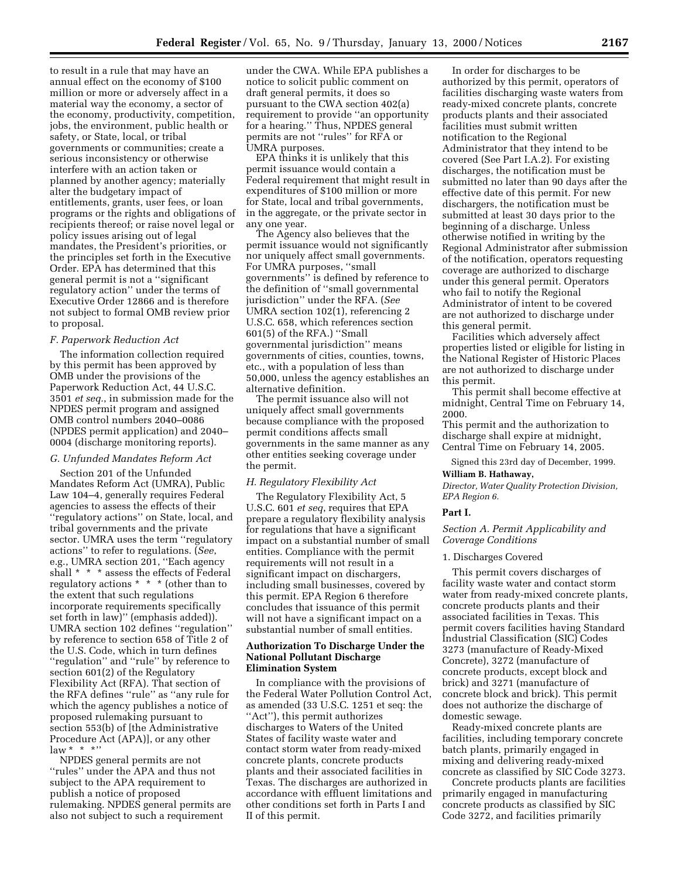to result in a rule that may have an annual effect on the economy of \$100 million or more or adversely affect in a material way the economy, a sector of the economy, productivity, competition, jobs, the environment, public health or safety, or State, local, or tribal governments or communities; create a serious inconsistency or otherwise interfere with an action taken or planned by another agency; materially alter the budgetary impact of entitlements, grants, user fees, or loan programs or the rights and obligations of recipients thereof; or raise novel legal or policy issues arising out of legal mandates, the President's priorities, or the principles set forth in the Executive Order. EPA has determined that this general permit is not a ''significant regulatory action'' under the terms of Executive Order 12866 and is therefore not subject to formal OMB review prior to proposal.

## *F. Paperwork Reduction Act*

The information collection required by this permit has been approved by OMB under the provisions of the Paperwork Reduction Act, 44 U.S.C. 3501 *et seq.*, in submission made for the NPDES permit program and assigned OMB control numbers 2040–0086 (NPDES permit application) and 2040– 0004 (discharge monitoring reports).

## *G. Unfunded Mandates Reform Act*

Section 201 of the Unfunded Mandates Reform Act (UMRA), Public Law 104–4, generally requires Federal agencies to assess the effects of their ''regulatory actions'' on State, local, and tribal governments and the private sector. UMRA uses the term ''regulatory actions'' to refer to regulations. (*See*, e.g., UMRA section 201, ''Each agency shall \* \* \* assess the effects of Federal regulatory actions \* \* \* (other than to the extent that such regulations incorporate requirements specifically set forth in law)'' (emphasis added)). UMRA section 102 defines ''regulation'' by reference to section 658 of Title 2 of the U.S. Code, which in turn defines ''regulation'' and ''rule'' by reference to section 601(2) of the Regulatory Flexibility Act (RFA). That section of the RFA defines ''rule'' as ''any rule for which the agency publishes a notice of proposed rulemaking pursuant to section 553(b) of [the Administrative Procedure Act (APA)], or any other  $law * * * *$ 

NPDES general permits are not ''rules'' under the APA and thus not subject to the APA requirement to publish a notice of proposed rulemaking. NPDES general permits are also not subject to such a requirement

under the CWA. While EPA publishes a notice to solicit public comment on draft general permits, it does so pursuant to the CWA section 402(a) requirement to provide ''an opportunity for a hearing.'' Thus, NPDES general permits are not ''rules'' for RFA or UMRA purposes.

EPA thinks it is unlikely that this permit issuance would contain a Federal requirement that might result in expenditures of \$100 million or more for State, local and tribal governments, in the aggregate, or the private sector in any one year.

The Agency also believes that the permit issuance would not significantly nor uniquely affect small governments. For UMRA purposes, ''small governments'' is defined by reference to the definition of ''small governmental jurisdiction'' under the RFA. (*See* UMRA section 102(1), referencing 2 U.S.C. 658, which references section 601(5) of the RFA.) ''Small governmental jurisdiction'' means governments of cities, counties, towns, etc., with a population of less than 50,000, unless the agency establishes an alternative definition.

The permit issuance also will not uniquely affect small governments because compliance with the proposed permit conditions affects small governments in the same manner as any other entities seeking coverage under the permit.

## *H. Regulatory Flexibility Act*

The Regulatory Flexibility Act, 5 U.S.C. 601 *et seq*, requires that EPA prepare a regulatory flexibility analysis for regulations that have a significant impact on a substantial number of small entities. Compliance with the permit requirements will not result in a significant impact on dischargers, including small businesses, covered by this permit. EPA Region 6 therefore concludes that issuance of this permit will not have a significant impact on a substantial number of small entities.

## **Authorization To Discharge Under the National Pollutant Discharge Elimination System**

In compliance with the provisions of the Federal Water Pollution Control Act, as amended (33 U.S.C. 1251 et seq: the ''Act''), this permit authorizes discharges to Waters of the United States of facility waste water and contact storm water from ready-mixed concrete plants, concrete products plants and their associated facilities in Texas. The discharges are authorized in accordance with effluent limitations and other conditions set forth in Parts I and II of this permit.

In order for discharges to be authorized by this permit, operators of facilities discharging waste waters from ready-mixed concrete plants, concrete products plants and their associated facilities must submit written notification to the Regional Administrator that they intend to be covered (See Part I.A.2). For existing discharges, the notification must be submitted no later than 90 days after the effective date of this permit. For new dischargers, the notification must be submitted at least 30 days prior to the beginning of a discharge. Unless otherwise notified in writing by the Regional Administrator after submission of the notification, operators requesting coverage are authorized to discharge under this general permit. Operators who fail to notify the Regional Administrator of intent to be covered are not authorized to discharge under this general permit.

Facilities which adversely affect properties listed or eligible for listing in the National Register of Historic Places are not authorized to discharge under this permit.

This permit shall become effective at midnight, Central Time on February 14, 2000.

This permit and the authorization to discharge shall expire at midnight, Central Time on February 14, 2005.

Signed this 23rd day of December, 1999.

## **William B. Hathaway,**

*Director, Water Quality Protection Division, EPA Region 6.*

#### **Part I.**

### *Section A. Permit Applicability and Coverage Conditions*

#### 1. Discharges Covered

This permit covers discharges of facility waste water and contact storm water from ready-mixed concrete plants, concrete products plants and their associated facilities in Texas. This permit covers facilities having Standard Industrial Classification (SIC) Codes 3273 (manufacture of Ready-Mixed Concrete), 3272 (manufacture of concrete products, except block and brick) and 3271 (manufacture of concrete block and brick). This permit does not authorize the discharge of domestic sewage.

Ready-mixed concrete plants are facilities, including temporary concrete batch plants, primarily engaged in mixing and delivering ready-mixed concrete as classified by SIC Code 3273.

Concrete products plants are facilities primarily engaged in manufacturing concrete products as classified by SIC Code 3272, and facilities primarily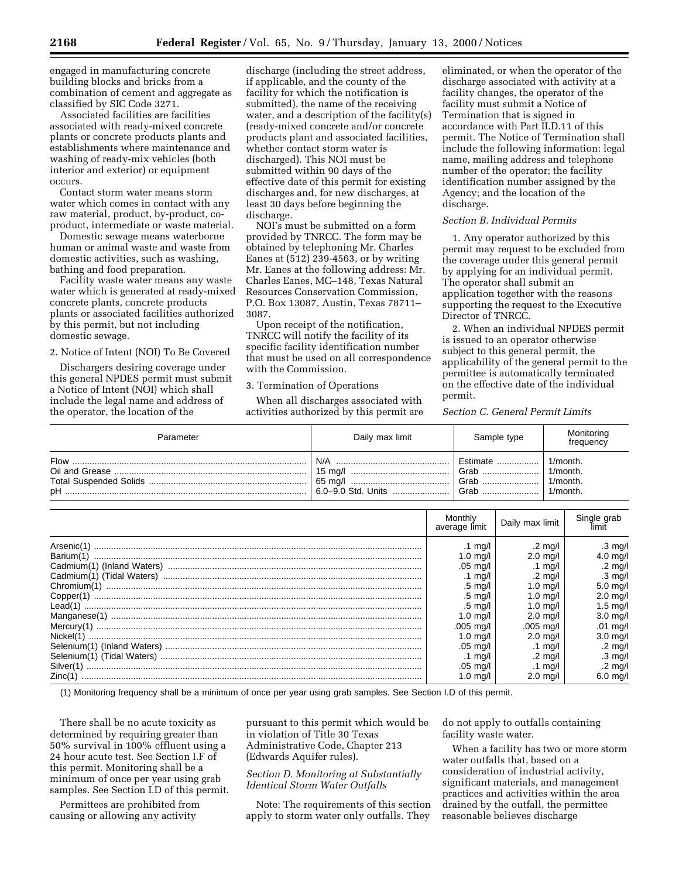engaged in manufacturing concrete building blocks and bricks from a combination of cement and aggregate as classified by SIC Code 3271.

Associated facilities are facilities associated with ready-mixed concrete plants or concrete products plants and establishments where maintenance and washing of ready-mix vehicles (both interior and exterior) or equipment occurs.

Contact storm water means storm water which comes in contact with any raw material, product, by-product, coproduct, intermediate or waste material.

Domestic sewage means waterborne human or animal waste and waste from domestic activities, such as washing, bathing and food preparation.

Facility waste water means any waste water which is generated at ready-mixed concrete plants, concrete products plants or associated facilities authorized by this permit, but not including domestic sewage.

2. Notice of Intent (NOI) To Be Covered

Dischargers desiring coverage under this general NPDES permit must submit a Notice of Intent (NOI) which shall include the legal name and address of the operator, the location of the

discharge (including the street address, if applicable, and the county of the facility for which the notification is submitted), the name of the receiving water, and a description of the facility(s) (ready-mixed concrete and/or concrete products plant and associated facilities, whether contact storm water is discharged). This NOI must be submitted within 90 days of the effective date of this permit for existing discharges and, for new discharges, at least 30 days before beginning the discharge.

NOI's must be submitted on a form provided by TNRCC. The form may be obtained by telephoning Mr. Charles Eanes at (512) 239-4563, or by writing Mr. Eanes at the following address: Mr. Charles Eanes, MC–148, Texas Natural Resources Conservation Commission, P.O. Box 13087, Austin, Texas 78711– 3087.

Upon receipt of the notification, TNRCC will notify the facility of its specific facility identification number that must be used on all correspondence with the Commission.

### 3. Termination of Operations

When all discharges associated with activities authorized by this permit are

eliminated, or when the operator of the discharge associated with activity at a facility changes, the operator of the facility must submit a Notice of Termination that is signed in accordance with Part II.D.11 of this permit. The Notice of Termination shall include the following information: legal name, mailing address and telephone number of the operator; the facility identification number assigned by the Agency; and the location of the discharge.

## *Section B. Individual Permits*

1. Any operator authorized by this permit may request to be excluded from the coverage under this general permit by applying for an individual permit. The operator shall submit an application together with the reasons supporting the request to the Executive Director of TNRCC.

2. When an individual NPDES permit is issued to an operator otherwise subject to this general permit, the applicability of the general permit to the permittee is automatically terminated on the effective date of the individual permit.

*Section C. General Permit Limits*

| Parameter | Daily max limit    | Sample type | Monitoring<br>frequency |
|-----------|--------------------|-------------|-------------------------|
| Flow      | N/A                | Estimate    | 1/month.                |
|           |                    | Grab        | 1/month.                |
|           |                    | Grab        | 1/month.                |
| pН        | 6.0–9.0 Std. Units | Grab        | 1/month.                |

| Monthly<br>average limit | Daily max limit       | Single grab        |
|--------------------------|-----------------------|--------------------|
| .1 mg/l                  | .2 ma/l               | .3 mg/l            |
| 1.0 ma/l                 | $2.0 \text{ mq/l}$    | $4.0$ mg/l         |
| $.05 \text{ mq/l}$       | .1 $mq/l$             | $.2 \text{ mg/l}$  |
| .1 mg/l                  | .2 mg/l               | .3 mg/l            |
| $.5 \text{ mq/l}$        | $1.0 \text{ ma/l}$    | $5.0 \text{ mq/l}$ |
| .5 ma/l                  | $1.0 \text{ ma/l}$    | $2.0 \text{ mq/l}$ |
| .5 mg/l                  | $1.0 \text{ ma/l}$    | $1.5 \text{ mq/l}$ |
| $1.0 \text{ mg/l}$       | $2.0 \text{ ma/l}$    | $3.0$ mg/l         |
| .005 mg/l                | $.005 \; \text{mq/l}$ | .01 mg/l           |
| 1.0 ma/l                 | $2.0 \text{ ma/l}$    | $3.0$ mg/l         |
| $.05 \text{ mq/l}$       | .1 ma/l               | .2 mg/l            |
| .1 mg/l                  | $.2 \text{ mq/l}$     | $.3 \text{ mg/l}$  |
| .05 ma/l                 | .1 ma/l               | .2 mg/l            |
| 1.0 ma/l                 | $2.0 \text{ ma/l}$    | $6.0 \text{ mq/l}$ |

(1) Monitoring frequency shall be a minimum of once per year using grab samples. See Section I.D of this permit.

There shall be no acute toxicity as determined by requiring greater than 50% survival in 100% effluent using a 24 hour acute test. See Section I.F of this permit. Monitoring shall be a minimum of once per year using grab samples. See Section I.D of this permit.

Permittees are prohibited from causing or allowing any activity

pursuant to this permit which would be in violation of Title 30 Texas Administrative Code, Chapter 213 (Edwards Aquifer rules).

## *Section D. Monitoring at Substantially Identical Storm Water Outfalls*

Note: The requirements of this section apply to storm water only outfalls. They

do not apply to outfalls containing facility waste water.

When a facility has two or more storm water outfalls that, based on a consideration of industrial activity, significant materials, and management practices and activities within the area drained by the outfall, the permittee reasonable believes discharge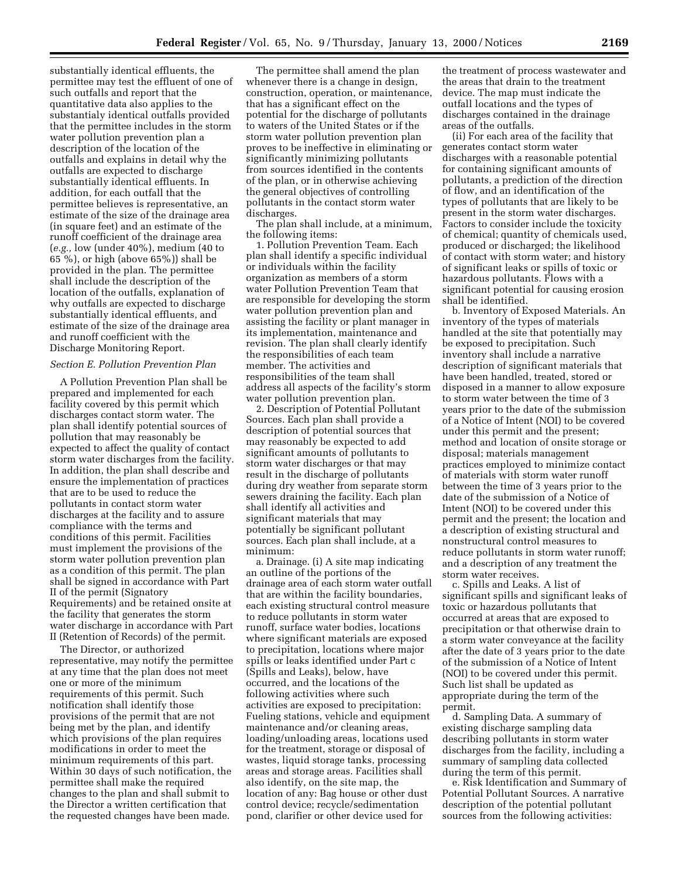substantially identical effluents, the permittee may test the effluent of one of such outfalls and report that the quantitative data also applies to the substantialy identical outfalls provided that the permittee includes in the storm water pollution prevention plan a description of the location of the outfalls and explains in detail why the outfalls are expected to discharge substantially identical effluents. In addition, for each outfall that the permittee believes is representative, an estimate of the size of the drainage area (in square feet) and an estimate of the runoff coefficient of the drainage area (*e.g.,* low (under 40%), medium (40 to 65 %), or high (above 65%)) shall be provided in the plan. The permittee shall include the description of the location of the outfalls, explanation of why outfalls are expected to discharge substantially identical effluents, and estimate of the size of the drainage area and runoff coefficient with the Discharge Monitoring Report.

#### *Section E. Pollution Prevention Plan*

A Pollution Prevention Plan shall be prepared and implemented for each facility covered by this permit which discharges contact storm water. The plan shall identify potential sources of pollution that may reasonably be expected to affect the quality of contact storm water discharges from the facility. In addition, the plan shall describe and ensure the implementation of practices that are to be used to reduce the pollutants in contact storm water discharges at the facility and to assure compliance with the terms and conditions of this permit. Facilities must implement the provisions of the storm water pollution prevention plan as a condition of this permit. The plan shall be signed in accordance with Part II of the permit (Signatory Requirements) and be retained onsite at the facility that generates the storm water discharge in accordance with Part II (Retention of Records) of the permit.

The Director, or authorized representative, may notify the permittee at any time that the plan does not meet one or more of the minimum requirements of this permit. Such notification shall identify those provisions of the permit that are not being met by the plan, and identify which provisions of the plan requires modifications in order to meet the minimum requirements of this part. Within 30 days of such notification, the permittee shall make the required changes to the plan and shall submit to the Director a written certification that the requested changes have been made.

The permittee shall amend the plan whenever there is a change in design, construction, operation, or maintenance, that has a significant effect on the potential for the discharge of pollutants to waters of the United States or if the storm water pollution prevention plan proves to be ineffective in eliminating or significantly minimizing pollutants from sources identified in the contents of the plan, or in otherwise achieving the general objectives of controlling pollutants in the contact storm water discharges.

The plan shall include, at a minimum, the following items:

1. Pollution Prevention Team. Each plan shall identify a specific individual or individuals within the facility organization as members of a storm water Pollution Prevention Team that are responsible for developing the storm water pollution prevention plan and assisting the facility or plant manager in its implementation, maintenance and revision. The plan shall clearly identify the responsibilities of each team member. The activities and responsibilities of the team shall address all aspects of the facility's storm water pollution prevention plan.

2. Description of Potential Pollutant Sources. Each plan shall provide a description of potential sources that may reasonably be expected to add significant amounts of pollutants to storm water discharges or that may result in the discharge of pollutants during dry weather from separate storm sewers draining the facility. Each plan shall identify all activities and significant materials that may potentially be significant pollutant sources. Each plan shall include, at a minimum:

a. Drainage. (i) A site map indicating an outline of the portions of the drainage area of each storm water outfall that are within the facility boundaries, each existing structural control measure to reduce pollutants in storm water runoff, surface water bodies, locations where significant materials are exposed to precipitation, locations where major spills or leaks identified under Part c (Spills and Leaks), below, have occurred, and the locations of the following activities where such activities are exposed to precipitation: Fueling stations, vehicle and equipment maintenance and/or cleaning areas, loading/unloading areas, locations used for the treatment, storage or disposal of wastes, liquid storage tanks, processing areas and storage areas. Facilities shall also identify, on the site map, the location of any: Bag house or other dust control device; recycle/sedimentation pond, clarifier or other device used for

the treatment of process wastewater and the areas that drain to the treatment device. The map must indicate the outfall locations and the types of discharges contained in the drainage areas of the outfalls.

(ii) For each area of the facility that generates contact storm water discharges with a reasonable potential for containing significant amounts of pollutants, a prediction of the direction of flow, and an identification of the types of pollutants that are likely to be present in the storm water discharges. Factors to consider include the toxicity of chemical; quantity of chemicals used, produced or discharged; the likelihood of contact with storm water; and history of significant leaks or spills of toxic or hazardous pollutants. Flows with a significant potential for causing erosion shall be identified.

b. Inventory of Exposed Materials. An inventory of the types of materials handled at the site that potentially may be exposed to precipitation. Such inventory shall include a narrative description of significant materials that have been handled, treated, stored or disposed in a manner to allow exposure to storm water between the time of 3 years prior to the date of the submission of a Notice of Intent (NOI) to be covered under this permit and the present; method and location of onsite storage or disposal; materials management practices employed to minimize contact of materials with storm water runoff between the time of 3 years prior to the date of the submission of a Notice of Intent (NOI) to be covered under this permit and the present; the location and a description of existing structural and nonstructural control measures to reduce pollutants in storm water runoff; and a description of any treatment the storm water receives.

c. Spills and Leaks. A list of significant spills and significant leaks of toxic or hazardous pollutants that occurred at areas that are exposed to precipitation or that otherwise drain to a storm water conveyance at the facility after the date of 3 years prior to the date of the submission of a Notice of Intent (NOI) to be covered under this permit. Such list shall be updated as appropriate during the term of the permit.

d. Sampling Data. A summary of existing discharge sampling data describing pollutants in storm water discharges from the facility, including a summary of sampling data collected during the term of this permit.

e. Risk Identification and Summary of Potential Pollutant Sources. A narrative description of the potential pollutant sources from the following activities: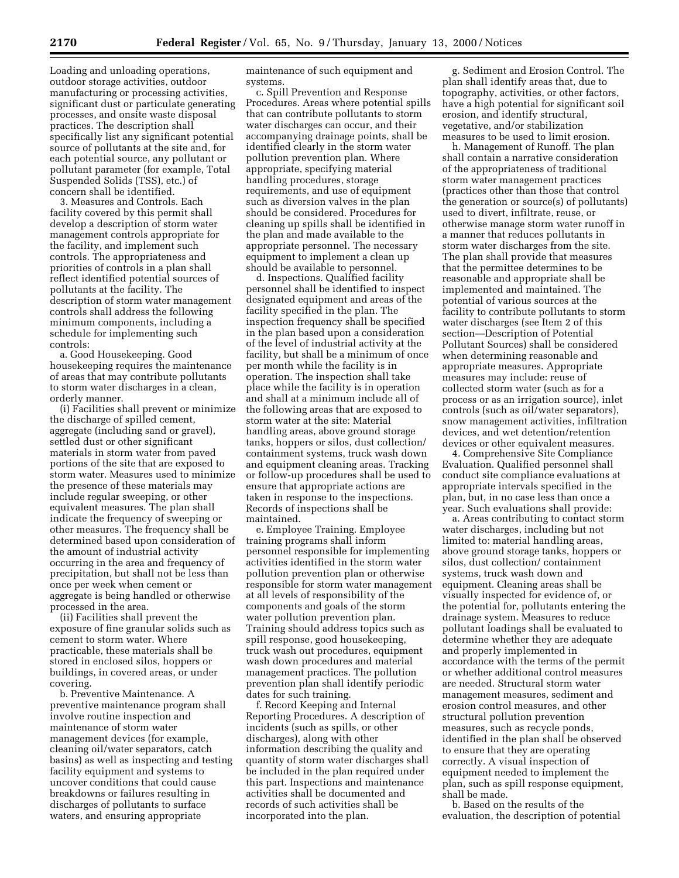Loading and unloading operations, outdoor storage activities, outdoor manufacturing or processing activities, significant dust or particulate generating processes, and onsite waste disposal practices. The description shall specifically list any significant potential source of pollutants at the site and, for each potential source, any pollutant or pollutant parameter (for example, Total Suspended Solids (TSS), etc.) of concern shall be identified.

3. Measures and Controls. Each facility covered by this permit shall develop a description of storm water management controls appropriate for the facility, and implement such controls. The appropriateness and priorities of controls in a plan shall reflect identified potential sources of pollutants at the facility. The description of storm water management controls shall address the following minimum components, including a schedule for implementing such controls:

a. Good Housekeeping. Good housekeeping requires the maintenance of areas that may contribute pollutants to storm water discharges in a clean, orderly manner.

(i) Facilities shall prevent or minimize the discharge of spilled cement, aggregate (including sand or gravel), settled dust or other significant materials in storm water from paved portions of the site that are exposed to storm water. Measures used to minimize the presence of these materials may include regular sweeping, or other equivalent measures. The plan shall indicate the frequency of sweeping or other measures. The frequency shall be determined based upon consideration of the amount of industrial activity occurring in the area and frequency of precipitation, but shall not be less than once per week when cement or aggregate is being handled or otherwise processed in the area.

(ii) Facilities shall prevent the exposure of fine granular solids such as cement to storm water. Where practicable, these materials shall be stored in enclosed silos, hoppers or buildings, in covered areas, or under covering.

b. Preventive Maintenance. A preventive maintenance program shall involve routine inspection and maintenance of storm water management devices (for example, cleaning oil/water separators, catch basins) as well as inspecting and testing facility equipment and systems to uncover conditions that could cause breakdowns or failures resulting in discharges of pollutants to surface waters, and ensuring appropriate

maintenance of such equipment and systems.

c. Spill Prevention and Response Procedures. Areas where potential spills that can contribute pollutants to storm water discharges can occur, and their accompanying drainage points, shall be identified clearly in the storm water pollution prevention plan. Where appropriate, specifying material handling procedures, storage requirements, and use of equipment such as diversion valves in the plan should be considered. Procedures for cleaning up spills shall be identified in the plan and made available to the appropriate personnel. The necessary equipment to implement a clean up should be available to personnel.

d. Inspections. Qualified facility personnel shall be identified to inspect designated equipment and areas of the facility specified in the plan. The inspection frequency shall be specified in the plan based upon a consideration of the level of industrial activity at the facility, but shall be a minimum of once per month while the facility is in operation. The inspection shall take place while the facility is in operation and shall at a minimum include all of the following areas that are exposed to storm water at the site: Material handling areas, above ground storage tanks, hoppers or silos, dust collection/ containment systems, truck wash down and equipment cleaning areas. Tracking or follow-up procedures shall be used to ensure that appropriate actions are taken in response to the inspections. Records of inspections shall be maintained.

e. Employee Training. Employee training programs shall inform personnel responsible for implementing activities identified in the storm water pollution prevention plan or otherwise responsible for storm water management at all levels of responsibility of the components and goals of the storm water pollution prevention plan. Training should address topics such as spill response, good housekeeping, truck wash out procedures, equipment wash down procedures and material management practices. The pollution prevention plan shall identify periodic dates for such training.

f. Record Keeping and Internal Reporting Procedures. A description of incidents (such as spills, or other discharges), along with other information describing the quality and quantity of storm water discharges shall be included in the plan required under this part. Inspections and maintenance activities shall be documented and records of such activities shall be incorporated into the plan.

g. Sediment and Erosion Control. The plan shall identify areas that, due to topography, activities, or other factors, have a high potential for significant soil erosion, and identify structural, vegetative, and/or stabilization measures to be used to limit erosion.

h. Management of Runoff. The plan shall contain a narrative consideration of the appropriateness of traditional storm water management practices (practices other than those that control the generation or source(s) of pollutants) used to divert, infiltrate, reuse, or otherwise manage storm water runoff in a manner that reduces pollutants in storm water discharges from the site. The plan shall provide that measures that the permittee determines to be reasonable and appropriate shall be implemented and maintained. The potential of various sources at the facility to contribute pollutants to storm water discharges (see Item 2 of this section—Description of Potential Pollutant Sources) shall be considered when determining reasonable and appropriate measures. Appropriate measures may include: reuse of collected storm water (such as for a process or as an irrigation source), inlet controls (such as oil/water separators), snow management activities, infiltration devices, and wet detention/retention devices or other equivalent measures.

4. Comprehensive Site Compliance Evaluation. Qualified personnel shall conduct site compliance evaluations at appropriate intervals specified in the plan, but, in no case less than once a year. Such evaluations shall provide:

a. Areas contributing to contact storm water discharges, including but not limited to: material handling areas, above ground storage tanks, hoppers or silos, dust collection/ containment systems, truck wash down and equipment. Cleaning areas shall be visually inspected for evidence of, or the potential for, pollutants entering the drainage system. Measures to reduce pollutant loadings shall be evaluated to determine whether they are adequate and properly implemented in accordance with the terms of the permit or whether additional control measures are needed. Structural storm water management measures, sediment and erosion control measures, and other structural pollution prevention measures, such as recycle ponds, identified in the plan shall be observed to ensure that they are operating correctly. A visual inspection of equipment needed to implement the plan, such as spill response equipment, shall be made.

b. Based on the results of the evaluation, the description of potential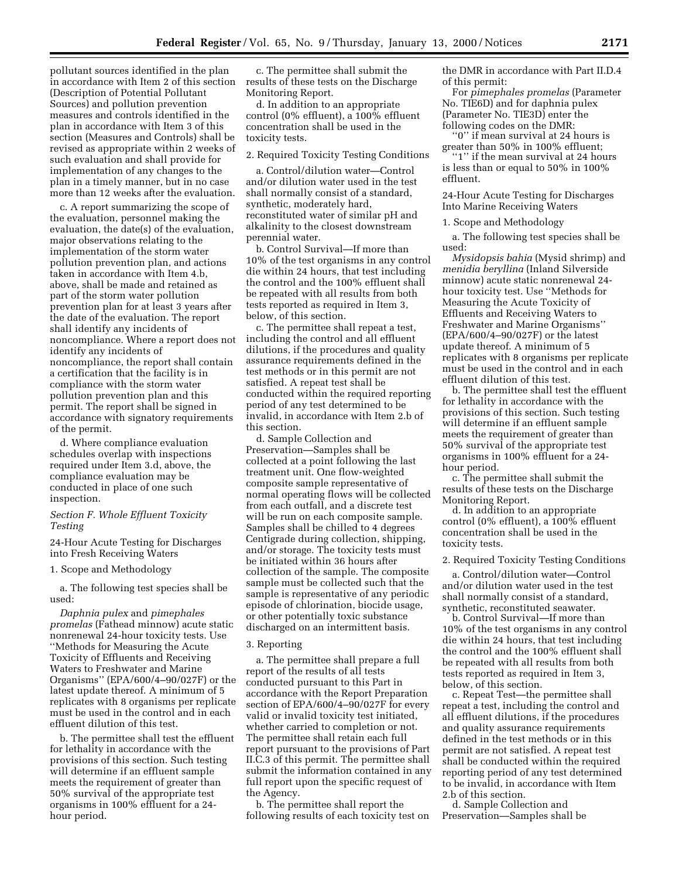pollutant sources identified in the plan in accordance with Item 2 of this section (Description of Potential Pollutant Sources) and pollution prevention measures and controls identified in the plan in accordance with Item 3 of this section (Measures and Controls) shall be revised as appropriate within 2 weeks of such evaluation and shall provide for implementation of any changes to the plan in a timely manner, but in no case more than 12 weeks after the evaluation.

c. A report summarizing the scope of the evaluation, personnel making the evaluation, the date(s) of the evaluation, major observations relating to the implementation of the storm water pollution prevention plan, and actions taken in accordance with Item 4.b, above, shall be made and retained as part of the storm water pollution prevention plan for at least 3 years after the date of the evaluation. The report shall identify any incidents of noncompliance. Where a report does not identify any incidents of noncompliance, the report shall contain a certification that the facility is in compliance with the storm water pollution prevention plan and this permit. The report shall be signed in accordance with signatory requirements of the permit.

d. Where compliance evaluation schedules overlap with inspections required under Item 3.d, above, the compliance evaluation may be conducted in place of one such inspection.

### *Section F. Whole Effluent Toxicity Testing*

24-Hour Acute Testing for Discharges into Fresh Receiving Waters

1. Scope and Methodology

a. The following test species shall be used:

*Daphnia pulex* and *pimephales promelas* (Fathead minnow) acute static nonrenewal 24-hour toxicity tests. Use ''Methods for Measuring the Acute Toxicity of Effluents and Receiving Waters to Freshwater and Marine Organisms'' (EPA/600/4–90/027F) or the latest update thereof. A minimum of 5 replicates with 8 organisms per replicate must be used in the control and in each effluent dilution of this test.

b. The permittee shall test the effluent for lethality in accordance with the provisions of this section. Such testing will determine if an effluent sample meets the requirement of greater than 50% survival of the appropriate test organisms in 100% effluent for a 24 hour period.

c. The permittee shall submit the results of these tests on the Discharge Monitoring Report.

d. In addition to an appropriate control (0% effluent), a 100% effluent concentration shall be used in the toxicity tests.

2. Required Toxicity Testing Conditions

a. Control/dilution water—Control and/or dilution water used in the test shall normally consist of a standard, synthetic, moderately hard, reconstituted water of similar pH and alkalinity to the closest downstream perennial water.

b. Control Survival—If more than 10% of the test organisms in any control die within 24 hours, that test including the control and the 100% effluent shall be repeated with all results from both tests reported as required in Item 3, below, of this section.

c. The permittee shall repeat a test, including the control and all effluent dilutions, if the procedures and quality assurance requirements defined in the test methods or in this permit are not satisfied. A repeat test shall be conducted within the required reporting period of any test determined to be invalid, in accordance with Item 2.b of this section.

d. Sample Collection and Preservation—Samples shall be collected at a point following the last treatment unit. One flow-weighted composite sample representative of normal operating flows will be collected from each outfall, and a discrete test will be run on each composite sample. Samples shall be chilled to 4 degrees Centigrade during collection, shipping, and/or storage. The toxicity tests must be initiated within 36 hours after collection of the sample. The composite sample must be collected such that the sample is representative of any periodic episode of chlorination, biocide usage, or other potentially toxic substance discharged on an intermittent basis.

## 3. Reporting

a. The permittee shall prepare a full report of the results of all tests conducted pursuant to this Part in accordance with the Report Preparation section of EPA/600/4–90/027F for every valid or invalid toxicity test initiated, whether carried to completion or not. The permittee shall retain each full report pursuant to the provisions of Part II.C.3 of this permit. The permittee shall submit the information contained in any full report upon the specific request of the Agency.

b. The permittee shall report the following results of each toxicity test on the DMR in accordance with Part II.D.4 of this permit:

For *pimephales promelas* (Parameter No. TIE6D) and for daphnia pulex (Parameter No. TIE3D) enter the following codes on the DMR:

''0'' if mean survival at 24 hours is greater than 50% in 100% effluent;

''1'' if the mean survival at 24 hours is less than or equal to 50% in 100% effluent.

24-Hour Acute Testing for Discharges Into Marine Receiving Waters

1. Scope and Methodology

a. The following test species shall be used:

*Mysidopsis bahia* (Mysid shrimp) and *menidia beryllina* (Inland Silverside minnow) acute static nonrenewal 24 hour toxicity test. Use ''Methods for Measuring the Acute Toxicity of Effluents and Receiving Waters to Freshwater and Marine Organisms'' (EPA/600/4–90/027F) or the latest update thereof. A minimum of 5 replicates with 8 organisms per replicate must be used in the control and in each effluent dilution of this test.

b. The permittee shall test the effluent for lethality in accordance with the provisions of this section. Such testing will determine if an effluent sample meets the requirement of greater than 50% survival of the appropriate test organisms in 100% effluent for a 24 hour period.

c. The permittee shall submit the results of these tests on the Discharge Monitoring Report.

d. In addition to an appropriate control (0% effluent), a 100% effluent concentration shall be used in the toxicity tests.

2. Required Toxicity Testing Conditions

a. Control/dilution water—Control and/or dilution water used in the test shall normally consist of a standard, synthetic, reconstituted seawater.

b. Control Survival—If more than 10% of the test organisms in any control die within 24 hours, that test including the control and the 100% effluent shall be repeated with all results from both tests reported as required in Item 3, below, of this section.

c. Repeat Test—the permittee shall repeat a test, including the control and all effluent dilutions, if the procedures and quality assurance requirements defined in the test methods or in this permit are not satisfied. A repeat test shall be conducted within the required reporting period of any test determined to be invalid, in accordance with Item 2.b of this section.

d. Sample Collection and Preservation—Samples shall be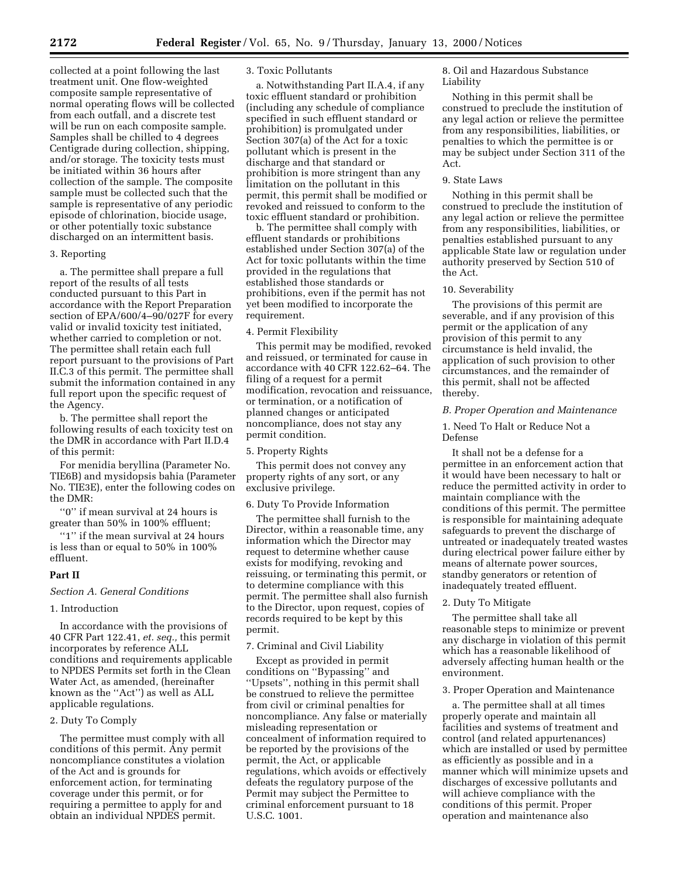collected at a point following the last treatment unit. One flow-weighted composite sample representative of normal operating flows will be collected from each outfall, and a discrete test will be run on each composite sample. Samples shall be chilled to 4 degrees Centigrade during collection, shipping, and/or storage. The toxicity tests must be initiated within 36 hours after collection of the sample. The composite sample must be collected such that the sample is representative of any periodic episode of chlorination, biocide usage, or other potentially toxic substance discharged on an intermittent basis.

## 3. Reporting

a. The permittee shall prepare a full report of the results of all tests conducted pursuant to this Part in accordance with the Report Preparation section of EPA/600/4–90/027F for every valid or invalid toxicity test initiated, whether carried to completion or not. The permittee shall retain each full report pursuant to the provisions of Part II.C.3 of this permit. The permittee shall submit the information contained in any full report upon the specific request of the Agency.

b. The permittee shall report the following results of each toxicity test on the DMR in accordance with Part II.D.4 of this permit:

For menidia beryllina (Parameter No. TIE6B) and mysidopsis bahia (Parameter No. TIE3E), enter the following codes on the DMR:

''0'' if mean survival at 24 hours is greater than 50% in 100% effluent;

"1" if the mean survival at 24 hours is less than or equal to 50% in 100% effluent.

#### **Part II**

# *Section A. General Conditions*

## 1. Introduction

In accordance with the provisions of 40 CFR Part 122.41, *et. seq.,* this permit incorporates by reference ALL conditions and requirements applicable to NPDES Permits set forth in the Clean Water Act, as amended, (hereinafter known as the ''Act'') as well as ALL applicable regulations.

## 2. Duty To Comply

The permittee must comply with all conditions of this permit. Any permit noncompliance constitutes a violation of the Act and is grounds for enforcement action, for terminating coverage under this permit, or for requiring a permittee to apply for and obtain an individual NPDES permit.

### 3. Toxic Pollutants

a. Notwithstanding Part II.A.4, if any toxic effluent standard or prohibition (including any schedule of compliance specified in such effluent standard or prohibition) is promulgated under Section 307(a) of the Act for a toxic pollutant which is present in the discharge and that standard or prohibition is more stringent than any limitation on the pollutant in this permit, this permit shall be modified or revoked and reissued to conform to the toxic effluent standard or prohibition.

b. The permittee shall comply with effluent standards or prohibitions established under Section 307(a) of the Act for toxic pollutants within the time provided in the regulations that established those standards or prohibitions, even if the permit has not yet been modified to incorporate the requirement.

# 4. Permit Flexibility

This permit may be modified, revoked and reissued, or terminated for cause in accordance with 40 CFR 122.62–64. The filing of a request for a permit modification, revocation and reissuance, or termination, or a notification of planned changes or anticipated noncompliance, does not stay any permit condition.

#### 5. Property Rights

This permit does not convey any property rights of any sort, or any exclusive privilege.

#### 6. Duty To Provide Information

The permittee shall furnish to the Director, within a reasonable time, any information which the Director may request to determine whether cause exists for modifying, revoking and reissuing, or terminating this permit, or to determine compliance with this permit. The permittee shall also furnish to the Director, upon request, copies of records required to be kept by this permit.

## 7. Criminal and Civil Liability

Except as provided in permit conditions on ''Bypassing'' and ''Upsets'', nothing in this permit shall be construed to relieve the permittee from civil or criminal penalties for noncompliance. Any false or materially misleading representation or concealment of information required to be reported by the provisions of the permit, the Act, or applicable regulations, which avoids or effectively defeats the regulatory purpose of the Permit may subject the Permittee to criminal enforcement pursuant to 18 U.S.C. 1001.

8. Oil and Hazardous Substance Liability

Nothing in this permit shall be construed to preclude the institution of any legal action or relieve the permittee from any responsibilities, liabilities, or penalties to which the permittee is or may be subject under Section 311 of the Act.

# 9. State Laws

Nothing in this permit shall be construed to preclude the institution of any legal action or relieve the permittee from any responsibilities, liabilities, or penalties established pursuant to any applicable State law or regulation under authority preserved by Section 510 of the Act.

### 10. Severability

The provisions of this permit are severable, and if any provision of this permit or the application of any provision of this permit to any circumstance is held invalid, the application of such provision to other circumstances, and the remainder of this permit, shall not be affected thereby.

### *B. Proper Operation and Maintenance*

1. Need To Halt or Reduce Not a Defense

It shall not be a defense for a permittee in an enforcement action that it would have been necessary to halt or reduce the permitted activity in order to maintain compliance with the conditions of this permit. The permittee is responsible for maintaining adequate safeguards to prevent the discharge of untreated or inadequately treated wastes during electrical power failure either by means of alternate power sources, standby generators or retention of inadequately treated effluent.

### 2. Duty To Mitigate

The permittee shall take all reasonable steps to minimize or prevent any discharge in violation of this permit which has a reasonable likelihood of adversely affecting human health or the environment.

#### 3. Proper Operation and Maintenance

a. The permittee shall at all times properly operate and maintain all facilities and systems of treatment and control (and related appurtenances) which are installed or used by permittee as efficiently as possible and in a manner which will minimize upsets and discharges of excessive pollutants and will achieve compliance with the conditions of this permit. Proper operation and maintenance also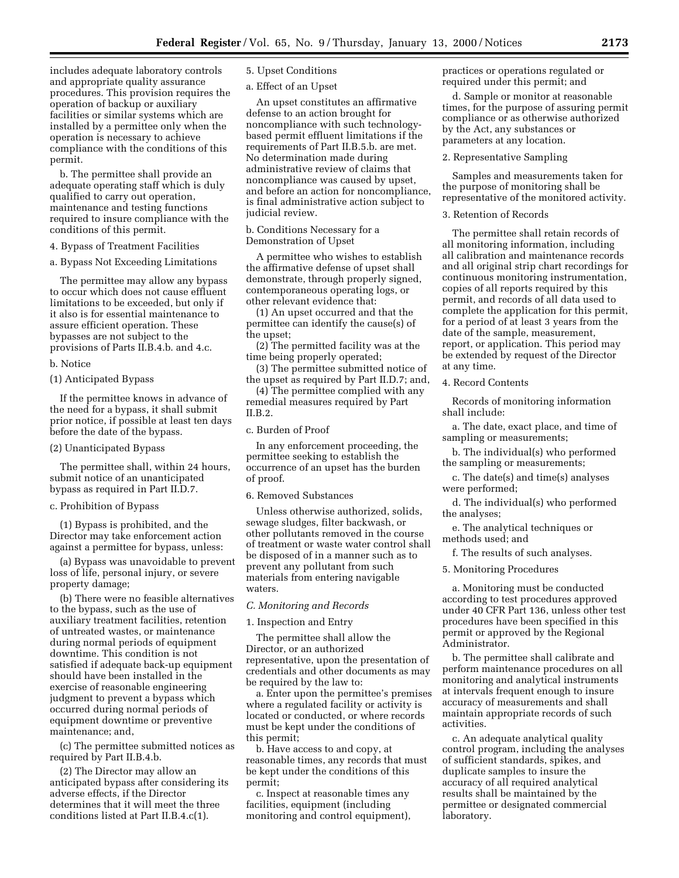includes adequate laboratory controls and appropriate quality assurance procedures. This provision requires the operation of backup or auxiliary facilities or similar systems which are installed by a permittee only when the operation is necessary to achieve compliance with the conditions of this permit.

b. The permittee shall provide an adequate operating staff which is duly qualified to carry out operation, maintenance and testing functions required to insure compliance with the conditions of this permit.

4. Bypass of Treatment Facilities

a. Bypass Not Exceeding Limitations

The permittee may allow any bypass to occur which does not cause effluent limitations to be exceeded, but only if it also is for essential maintenance to assure efficient operation. These bypasses are not subject to the provisions of Parts II.B.4.b. and 4.c.

#### b. Notice

(1) Anticipated Bypass

If the permittee knows in advance of the need for a bypass, it shall submit prior notice, if possible at least ten days before the date of the bypass.

#### (2) Unanticipated Bypass

The permittee shall, within 24 hours, submit notice of an unanticipated bypass as required in Part II.D.7.

#### c. Prohibition of Bypass

(1) Bypass is prohibited, and the Director may take enforcement action against a permittee for bypass, unless:

(a) Bypass was unavoidable to prevent loss of life, personal injury, or severe property damage;

(b) There were no feasible alternatives to the bypass, such as the use of auxiliary treatment facilities, retention of untreated wastes, or maintenance during normal periods of equipment downtime. This condition is not satisfied if adequate back-up equipment should have been installed in the exercise of reasonable engineering judgment to prevent a bypass which occurred during normal periods of equipment downtime or preventive maintenance; and,

(c) The permittee submitted notices as required by Part II.B.4.b.

(2) The Director may allow an anticipated bypass after considering its adverse effects, if the Director determines that it will meet the three conditions listed at Part II.B.4.c(1).

5. Upset Conditions

a. Effect of an Upset

An upset constitutes an affirmative defense to an action brought for noncompliance with such technologybased permit effluent limitations if the requirements of Part II.B.5.b. are met. No determination made during administrative review of claims that noncompliance was caused by upset, and before an action for noncompliance, is final administrative action subject to judicial review.

b. Conditions Necessary for a Demonstration of Upset

A permittee who wishes to establish the affirmative defense of upset shall demonstrate, through properly signed, contemporaneous operating logs, or other relevant evidence that:

(1) An upset occurred and that the permittee can identify the cause(s) of the upset;

(2) The permitted facility was at the time being properly operated;

(3) The permittee submitted notice of the upset as required by Part II.D.7; and,

(4) The permittee complied with any remedial measures required by Part II.B.2.

#### c. Burden of Proof

In any enforcement proceeding, the permittee seeking to establish the occurrence of an upset has the burden of proof.

6. Removed Substances

Unless otherwise authorized, solids, sewage sludges, filter backwash, or other pollutants removed in the course of treatment or waste water control shall be disposed of in a manner such as to prevent any pollutant from such materials from entering navigable waters.

## *C. Monitoring and Records*

#### 1. Inspection and Entry

The permittee shall allow the Director, or an authorized representative, upon the presentation of credentials and other documents as may be required by the law to:

a. Enter upon the permittee's premises where a regulated facility or activity is located or conducted, or where records must be kept under the conditions of this permit;

b. Have access to and copy, at reasonable times, any records that must be kept under the conditions of this permit;

c. Inspect at reasonable times any facilities, equipment (including monitoring and control equipment), practices or operations regulated or required under this permit; and

d. Sample or monitor at reasonable times, for the purpose of assuring permit compliance or as otherwise authorized by the Act, any substances or parameters at any location.

2. Representative Sampling

Samples and measurements taken for the purpose of monitoring shall be representative of the monitored activity.

3. Retention of Records

The permittee shall retain records of all monitoring information, including all calibration and maintenance records and all original strip chart recordings for continuous monitoring instrumentation, copies of all reports required by this permit, and records of all data used to complete the application for this permit, for a period of at least 3 years from the date of the sample, measurement, report, or application. This period may be extended by request of the Director at any time.

4. Record Contents

Records of monitoring information shall include:

a. The date, exact place, and time of sampling or measurements;

b. The individual(s) who performed the sampling or measurements;

c. The date(s) and time(s) analyses were performed;

d. The individual(s) who performed the analyses;

e. The analytical techniques or methods used; and

f. The results of such analyses.

5. Monitoring Procedures

a. Monitoring must be conducted according to test procedures approved under 40 CFR Part 136, unless other test procedures have been specified in this permit or approved by the Regional Administrator.

b. The permittee shall calibrate and perform maintenance procedures on all monitoring and analytical instruments at intervals frequent enough to insure accuracy of measurements and shall maintain appropriate records of such activities.

c. An adequate analytical quality control program, including the analyses of sufficient standards, spikes, and duplicate samples to insure the accuracy of all required analytical results shall be maintained by the permittee or designated commercial laboratory.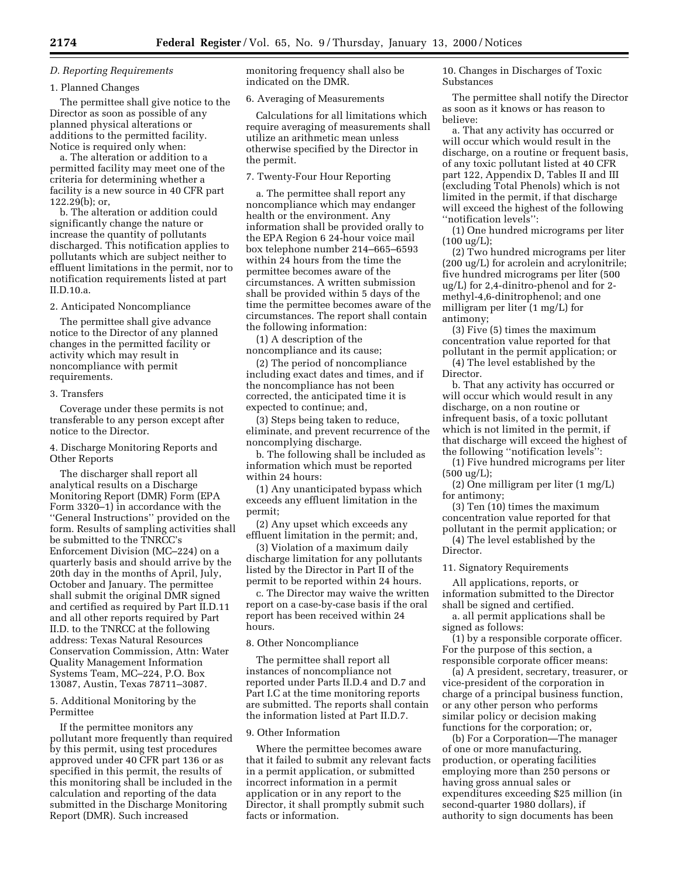## *D. Reporting Requirements*

#### 1. Planned Changes

The permittee shall give notice to the Director as soon as possible of any planned physical alterations or additions to the permitted facility. Notice is required only when:

a. The alteration or addition to a permitted facility may meet one of the criteria for determining whether a facility is a new source in 40 CFR part 122.29(b); or,

b. The alteration or addition could significantly change the nature or increase the quantity of pollutants discharged. This notification applies to pollutants which are subject neither to effluent limitations in the permit, nor to notification requirements listed at part II.D.10.a.

2. Anticipated Noncompliance

The permittee shall give advance notice to the Director of any planned changes in the permitted facility or activity which may result in noncompliance with permit requirements.

#### 3. Transfers

Coverage under these permits is not transferable to any person except after notice to the Director.

4. Discharge Monitoring Reports and Other Reports

The discharger shall report all analytical results on a Discharge Monitoring Report (DMR) Form (EPA Form 3320–1) in accordance with the ''General Instructions'' provided on the form. Results of sampling activities shall be submitted to the TNRCC's Enforcement Division (MC–224) on a quarterly basis and should arrive by the 20th day in the months of April, July, October and January. The permittee shall submit the original DMR signed and certified as required by Part II.D.11 and all other reports required by Part II.D. to the TNRCC at the following address: Texas Natural Resources Conservation Commission, Attn: Water Quality Management Information Systems Team, MC–224, P.O. Box 13087, Austin, Texas 78711–3087.

5. Additional Monitoring by the Permittee

If the permittee monitors any pollutant more frequently than required by this permit, using test procedures approved under 40 CFR part 136 or as specified in this permit, the results of this monitoring shall be included in the calculation and reporting of the data submitted in the Discharge Monitoring Report (DMR). Such increased

monitoring frequency shall also be indicated on the DMR.

6. Averaging of Measurements

Calculations for all limitations which require averaging of measurements shall utilize an arithmetic mean unless otherwise specified by the Director in the permit.

7. Twenty-Four Hour Reporting

a. The permittee shall report any noncompliance which may endanger health or the environment. Any information shall be provided orally to the EPA Region 6 24-hour voice mail box telephone number 214–665–6593 within 24 hours from the time the permittee becomes aware of the circumstances. A written submission shall be provided within 5 days of the time the permittee becomes aware of the circumstances. The report shall contain the following information:

(1) A description of the noncompliance and its cause;

(2) The period of noncompliance including exact dates and times, and if the noncompliance has not been corrected, the anticipated time it is expected to continue; and,

(3) Steps being taken to reduce, eliminate, and prevent recurrence of the noncomplying discharge.

b. The following shall be included as information which must be reported within 24 hours:

(1) Any unanticipated bypass which exceeds any effluent limitation in the permit;

(2) Any upset which exceeds any effluent limitation in the permit; and,

(3) Violation of a maximum daily discharge limitation for any pollutants listed by the Director in Part II of the permit to be reported within 24 hours.

c. The Director may waive the written report on a case-by-case basis if the oral report has been received within 24 hours.

### 8. Other Noncompliance

The permittee shall report all instances of noncompliance not reported under Parts II.D.4 and D.7 and Part I.C at the time monitoring reports are submitted. The reports shall contain the information listed at Part II.D.7.

# 9. Other Information

Where the permittee becomes aware that it failed to submit any relevant facts in a permit application, or submitted incorrect information in a permit application or in any report to the Director, it shall promptly submit such facts or information.

10. Changes in Discharges of Toxic Substances

The permittee shall notify the Director as soon as it knows or has reason to believe:

a. That any activity has occurred or will occur which would result in the discharge, on a routine or frequent basis, of any toxic pollutant listed at 40 CFR part 122, Appendix D, Tables II and III (excluding Total Phenols) which is not limited in the permit, if that discharge will exceed the highest of the following ''notification levels'':

(1) One hundred micrograms per liter (100 ug/L);

(2) Two hundred micrograms per liter (200 ug/L) for acrolein and acrylonitrile; five hundred micrograms per liter (500 ug/L) for 2,4-dinitro-phenol and for 2 methyl-4,6-dinitrophenol; and one milligram per liter (1 mg/L) for antimony;

(3) Five (5) times the maximum concentration value reported for that pollutant in the permit application; or

(4) The level established by the Director.

b. That any activity has occurred or will occur which would result in any discharge, on a non routine or infrequent basis, of a toxic pollutant which is not limited in the permit, if that discharge will exceed the highest of the following ''notification levels'':

(1) Five hundred micrograms per liter  $(500 \text{ ug/L})$ ;

(2) One milligram per liter (1 mg/L) for antimony;

(3) Ten (10) times the maximum concentration value reported for that pollutant in the permit application; or

(4) The level established by the Director.

#### 11. Signatory Requirements

All applications, reports, or information submitted to the Director shall be signed and certified.

a. all permit applications shall be signed as follows:

(1) by a responsible corporate officer. For the purpose of this section, a responsible corporate officer means:

(a) A president, secretary, treasurer, or vice-president of the corporation in charge of a principal business function, or any other person who performs similar policy or decision making functions for the corporation; or,

(b) For a Corporation—The manager of one or more manufacturing, production, or operating facilities employing more than 250 persons or having gross annual sales or expenditures exceeding \$25 million (in second-quarter 1980 dollars), if authority to sign documents has been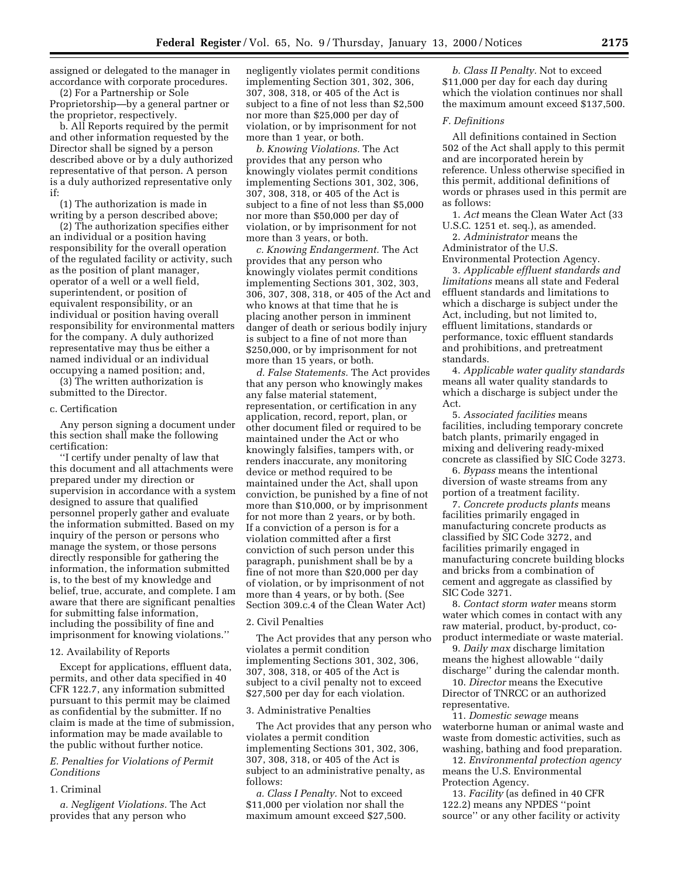assigned or delegated to the manager in accordance with corporate procedures. (2) For a Partnership or Sole

Proprietorship—by a general partner or the proprietor, respectively.

b. All Reports required by the permit and other information requested by the Director shall be signed by a person described above or by a duly authorized representative of that person. A person is a duly authorized representative only if:

(1) The authorization is made in writing by a person described above;

(2) The authorization specifies either an individual or a position having responsibility for the overall operation of the regulated facility or activity, such as the position of plant manager, operator of a well or a well field, superintendent, or position of equivalent responsibility, or an individual or position having overall responsibility for environmental matters for the company. A duly authorized representative may thus be either a named individual or an individual occupying a named position; and,

(3) The written authorization is submitted to the Director.

#### c. Certification

Any person signing a document under this section shall make the following certification:

''I certify under penalty of law that this document and all attachments were prepared under my direction or supervision in accordance with a system designed to assure that qualified personnel properly gather and evaluate the information submitted. Based on my inquiry of the person or persons who manage the system, or those persons directly responsible for gathering the information, the information submitted is, to the best of my knowledge and belief, true, accurate, and complete. I am aware that there are significant penalties for submitting false information, including the possibility of fine and imprisonment for knowing violations.''

### 12. Availability of Reports

Except for applications, effluent data, permits, and other data specified in 40 CFR 122.7, any information submitted pursuant to this permit may be claimed as confidential by the submitter. If no claim is made at the time of submission, information may be made available to the public without further notice.

## *E. Penalties for Violations of Permit Conditions*

#### 1. Criminal

*a. Negligent Violations.* The Act provides that any person who

negligently violates permit conditions implementing Section 301, 302, 306, 307, 308, 318, or 405 of the Act is subject to a fine of not less than \$2,500 nor more than \$25,000 per day of violation, or by imprisonment for not more than 1 year, or both.

*b. Knowing Violations.* The Act provides that any person who knowingly violates permit conditions implementing Sections 301, 302, 306, 307, 308, 318, or 405 of the Act is subject to a fine of not less than \$5,000 nor more than \$50,000 per day of violation, or by imprisonment for not more than 3 years, or both.

*c. Knowing Endangerment.* The Act provides that any person who knowingly violates permit conditions implementing Sections 301, 302, 303, 306, 307, 308, 318, or 405 of the Act and who knows at that time that he is placing another person in imminent danger of death or serious bodily injury is subject to a fine of not more than \$250,000, or by imprisonment for not more than 15 years, or both.

*d. False Statements.* The Act provides that any person who knowingly makes any false material statement, representation, or certification in any application, record, report, plan, or other document filed or required to be maintained under the Act or who knowingly falsifies, tampers with, or renders inaccurate, any monitoring device or method required to be maintained under the Act, shall upon conviction, be punished by a fine of not more than \$10,000, or by imprisonment for not more than 2 years, or by both. If a conviction of a person is for a violation committed after a first conviction of such person under this paragraph, punishment shall be by a fine of not more than \$20,000 per day of violation, or by imprisonment of not more than 4 years, or by both. (See Section 309.c.4 of the Clean Water Act)

#### 2. Civil Penalties

The Act provides that any person who violates a permit condition implementing Sections 301, 302, 306, 307, 308, 318, or 405 of the Act is subject to a civil penalty not to exceed \$27,500 per day for each violation.

#### 3. Administrative Penalties

The Act provides that any person who violates a permit condition implementing Sections 301, 302, 306, 307, 308, 318, or 405 of the Act is subject to an administrative penalty, as follows:

*a. Class I Penalty.* Not to exceed \$11,000 per violation nor shall the maximum amount exceed \$27,500.

*b. Class II Penalty.* Not to exceed \$11,000 per day for each day during which the violation continues nor shall the maximum amount exceed \$137,500.

## *F. Definitions*

All definitions contained in Section 502 of the Act shall apply to this permit and are incorporated herein by reference. Unless otherwise specified in this permit, additional definitions of words or phrases used in this permit are as follows:

1. *Act* means the Clean Water Act (33 U.S.C. 1251 et. seq.), as amended.

2. *Administrator* means the Administrator of the U.S.

Environmental Protection Agency. 3. *Applicable effluent standards and limitations* means all state and Federal effluent standards and limitations to which a discharge is subject under the Act, including, but not limited to, effluent limitations, standards or performance, toxic effluent standards and prohibitions, and pretreatment standards.

4. *Applicable water quality standards* means all water quality standards to which a discharge is subject under the Act.

5. *Associated facilities* means facilities, including temporary concrete batch plants, primarily engaged in mixing and delivering ready-mixed concrete as classified by SIC Code 3273.

6. *Bypass* means the intentional diversion of waste streams from any portion of a treatment facility.

7. *Concrete products plants* means facilities primarily engaged in manufacturing concrete products as classified by SIC Code 3272, and facilities primarily engaged in manufacturing concrete building blocks and bricks from a combination of cement and aggregate as classified by SIC Code 3271.

8. *Contact storm water* means storm water which comes in contact with any raw material, product, by-product, coproduct intermediate or waste material.

9. *Daily max* discharge limitation means the highest allowable ''daily discharge'' during the calendar month.

10. *Director* means the Executive Director of TNRCC or an authorized representative.

11. *Domestic sewage* means waterborne human or animal waste and waste from domestic activities, such as washing, bathing and food preparation.

12. *Environmental protection agency* means the U.S. Environmental Protection Agency.

13. *Facility* (as defined in 40 CFR 122.2) means any NPDES ''point source'' or any other facility or activity